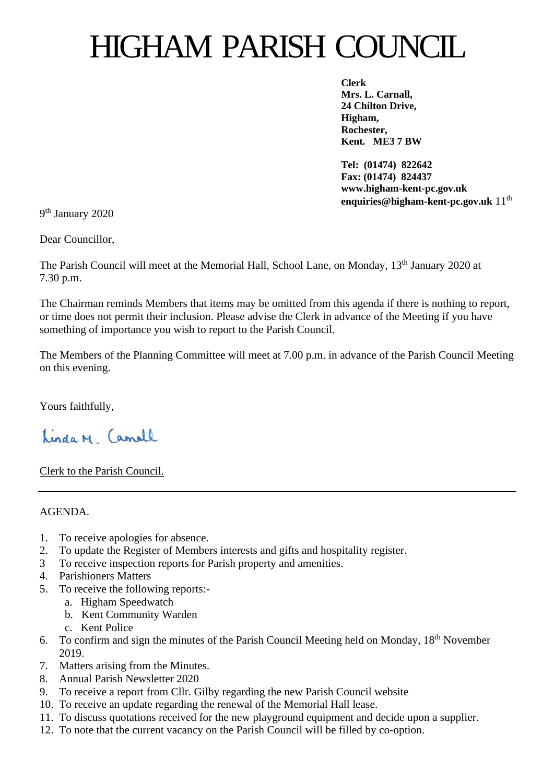# HIGHAM PARISH COUNCIL

**Clerk Mrs. L. Carnall, 24 Chilton Drive, Higham, Rochester, Kent. ME3 7 BW**

**Tel: (01474) 822642 Fax: (01474) 824437 www.higham-kent-pc.gov.uk enquiries@higham-kent-pc.gov.uk** 11th

9<sup>th</sup> January 2020

Dear Councillor,

The Parish Council will meet at the Memorial Hall, School Lane, on Monday, 13<sup>th</sup> January 2020 at 7.30 p.m.

The Chairman reminds Members that items may be omitted from this agenda if there is nothing to report, or time does not permit their inclusion. Please advise the Clerk in advance of the Meeting if you have something of importance you wish to report to the Parish Council.

The Members of the Planning Committee will meet at 7.00 p.m. in advance of the Parish Council Meeting on this evening.

Yours faithfully,

Linda M Camell

Clerk to the Parish Council.

AGENDA.

- 1. To receive apologies for absence.
- 2. To update the Register of Members interests and gifts and hospitality register.
- 3 To receive inspection reports for Parish property and amenities.
- 4. Parishioners Matters
- 5. To receive the following reports:
	- a. Higham Speedwatch
	- b. Kent Community Warden
		- c. Kent Police
- 6. To confirm and sign the minutes of the Parish Council Meeting held on Monday, 18th November 2019.
- 7. Matters arising from the Minutes.
- 8. Annual Parish Newsletter 2020
- 9. To receive a report from Cllr. Gilby regarding the new Parish Council website
- 10. To receive an update regarding the renewal of the Memorial Hall lease.
- 11. To discuss quotations received for the new playground equipment and decide upon a supplier.
- 12. To note that the current vacancy on the Parish Council will be filled by co-option.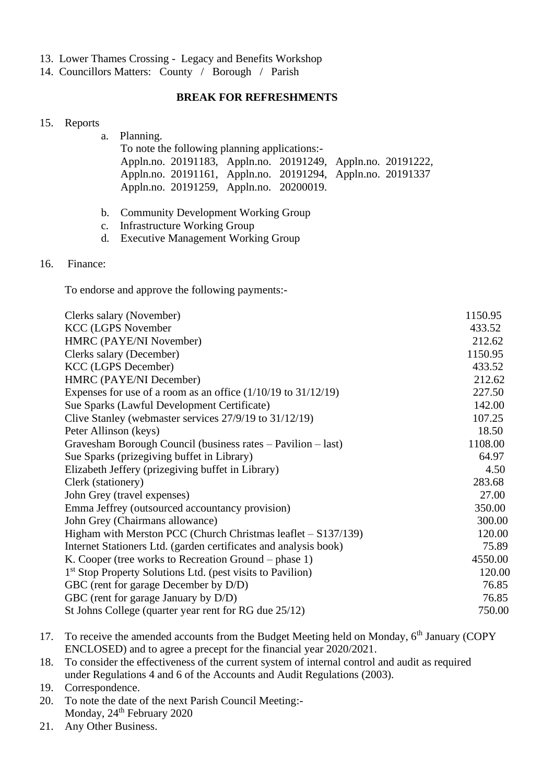- 13. Lower Thames Crossing Legacy and Benefits Workshop
- 14. Councillors Matters: County / Borough / Parish

## **BREAK FOR REFRESHMENTS**

#### 15. Reports

| a. Planning. |                                               |  |                                                             |  |  |  |  |
|--------------|-----------------------------------------------|--|-------------------------------------------------------------|--|--|--|--|
|              | To note the following planning applications:- |  |                                                             |  |  |  |  |
|              |                                               |  | Appln.no. 20191183, Appln.no. 20191249, Appln.no. 20191222, |  |  |  |  |
|              |                                               |  | Appln.no. 20191161, Appln.no. 20191294, Appln.no. 20191337  |  |  |  |  |
|              | Appln.no. 20191259, Appln.no. 20200019.       |  |                                                             |  |  |  |  |
|              |                                               |  |                                                             |  |  |  |  |

- b. Community Development Working Group
- c. Infrastructure Working Group
- d. Executive Management Working Group

### 16. Finance:

To endorse and approve the following payments:-

| Clerks salary (November)                                               | 1150.95 |
|------------------------------------------------------------------------|---------|
| <b>KCC (LGPS November</b>                                              | 433.52  |
| HMRC (PAYE/NI November)                                                | 212.62  |
| Clerks salary (December)                                               | 1150.95 |
| <b>KCC</b> (LGPS December)                                             | 433.52  |
| HMRC (PAYE/NI December)                                                | 212.62  |
| Expenses for use of a room as an office $(1/10/19$ to $31/12/19)$      | 227.50  |
| Sue Sparks (Lawful Development Certificate)                            | 142.00  |
| Clive Stanley (webmaster services $27/9/19$ to $31/12/19$ )            | 107.25  |
| Peter Allinson (keys)                                                  | 18.50   |
| Gravesham Borough Council (business rates – Pavilion – last)           | 1108.00 |
| Sue Sparks (prizegiving buffet in Library)                             | 64.97   |
| Elizabeth Jeffery (prizegiving buffet in Library)                      | 4.50    |
| Clerk (stationery)                                                     | 283.68  |
| John Grey (travel expenses)                                            | 27.00   |
| Emma Jeffrey (outsourced accountancy provision)                        | 350.00  |
| John Grey (Chairmans allowance)                                        | 300.00  |
| Higham with Merston PCC (Church Christmas leaflet - S137/139)          | 120.00  |
| Internet Stationers Ltd. (garden certificates and analysis book)       | 75.89   |
| K. Cooper (tree works to Recreation Ground – phase 1)                  | 4550.00 |
| 1 <sup>st</sup> Stop Property Solutions Ltd. (pest visits to Pavilion) | 120.00  |
| GBC (rent for garage December by D/D)                                  | 76.85   |
| GBC (rent for garage January by D/D)                                   | 76.85   |
| St Johns College (quarter year rent for RG due 25/12)                  | 750.00  |
|                                                                        |         |

- 17. To receive the amended accounts from the Budget Meeting held on Monday, 6<sup>th</sup> January (COPY) ENCLOSED) and to agree a precept for the financial year 2020/2021.
- 18. To consider the effectiveness of the current system of internal control and audit as required under Regulations 4 and 6 of the Accounts and Audit Regulations (2003).
- 19. Correspondence.
- 20. To note the date of the next Parish Council Meeting:- Monday, 24<sup>th</sup> February 2020
- 21. Any Other Business.